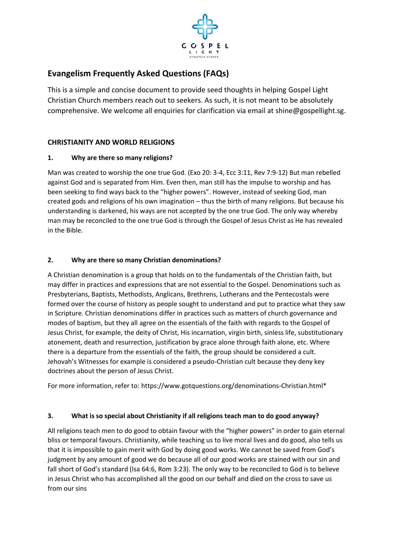

# **Evangelism Frequently Asked Questions (FAQs)**

This is a simple and concise document to provide seed thoughts in helping Gospel Light Christian Church members reach out to seekers. As such, it is not meant to be absolutely comprehensive. We welcome all enquiries for clarification via email at [shine@gospellight.sg.](mailto:shine@gospellight.sg)

# **CHRISTIANITY AND WORLD RELIGIONS**

### **1. Why are there so many religions?**

Man was created to worship the one true God. (Exo 20: 3-4, Ecc 3:11, Rev 7:9-12) But man rebelled against God and is separated from Him. Even then, man still has the impulse to worship and has been seeking to find ways back to the "higher powers". However, instead of seeking God, man created gods and religions of his own imagination – thus the birth of many religions. But because his understanding is darkened, his ways are not accepted by the one true God. The only way whereby man may be reconciled to the one true God is through the Gospel of Jesus Christ as He has revealed in the Bible.

### **2. Why are there so many Christian denominations?**

A Christian denomination is a group that holds on to the fundamentals of the Christian faith, but may differ in practices and expressions that are not essential to the Gospel. Denominations such as Presbyterians, Baptists, Methodists, Anglicans, Brethrens, Lutherans and the Pentecostals were formed over the course of history as people sought to understand and put to practice what they saw in Scripture. Christian denominations differ in practices such as matters of church governance and modes of baptism, but they all agree on the essentials of the faith with regards to the Gospel of Jesus Christ, for example, the deity of Christ, His incarnation, virgin birth, sinless life, substitutionary atonement, death and resurrection, justification by grace alone through faith alone, etc. Where there is a departure from the essentials of the faith, the group should be considered a cult. Jehovah's Witnesses for example is considered a pseudo-Christian cult because they deny key doctrines about the person of Jesus Christ.

For more information, refer to: [https://www.gotquestions.org/denominations-Christian.html\\*](https://www.gotquestions.org/denominations-Christian.html)

#### **3. What is so special about Christianity if all religions teach man to do good anyway?**

All religions teach men to do good to obtain favour with the "higher powers" in order to gain eternal bliss or temporal favours. Christianity, while teaching us to live moral lives and do good, also tells us that it is impossible to gain merit with God by doing good works. We cannot be saved from God's judgment by any amount of good we do because all of our good works are stained with our sin and fall short of God's standard (Isa 64:6, Rom 3:23). The only way to be reconciled to God is to believe in Jesus Christ who has accomplished all the good on our behalf and died on the cross to save us from our sins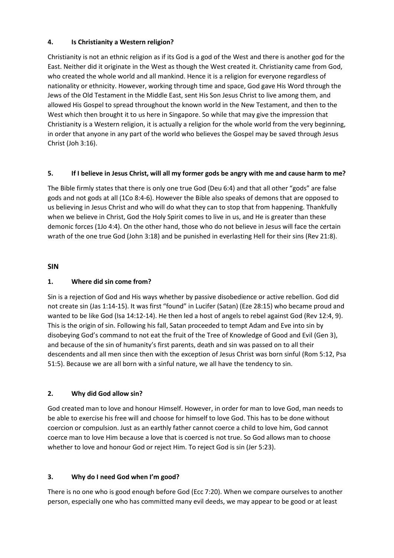### **4. Is Christianity a Western religion?**

Christianity is not an ethnic religion as if its God is a god of the West and there is another god for the East. Neither did it originate in the West as though the West created it. Christianity came from God, who created the whole world and all mankind. Hence it is a religion for everyone regardless of nationality or ethnicity. However, working through time and space, God gave His Word through the Jews of the Old Testament in the Middle East, sent His Son Jesus Christ to live among them, and allowed His Gospel to spread throughout the known world in the New Testament, and then to the West which then brought it to us here in Singapore. So while that may give the impression that Christianity is a Western religion, it is actually a religion for the whole world from the very beginning, in order that anyone in any part of the world who believes the Gospel may be saved through Jesus Christ (Joh 3:16).

#### **5. If I believe in Jesus Christ, will all my former gods be angry with me and cause harm to me?**

The Bible firmly states that there is only one true God (Deu 6:4) and that all other "gods" are false gods and not gods at all (1Co 8:4-6). However the Bible also speaks of demons that are opposed to us believing in Jesus Christ and who will do what they can to stop that from happening. Thankfully when we believe in Christ, God the Holy Spirit comes to live in us, and He is greater than these demonic forces (1Jo 4:4). On the other hand, those who do not believe in Jesus will face the certain wrath of the one true God (John 3:18) and be punished in everlasting Hell for their sins (Rev 21:8).

### **SIN**

### **1. Where did sin come from?**

Sin is a rejection of God and His ways whether by passive disobedience or active rebellion. God did not create sin (Jas 1:14-15). It was first "found" in Lucifer (Satan) (Eze 28:15) who became proud and wanted to be like God (Isa 14:12-14). He then led a host of angels to rebel against God (Rev 12:4, 9). This is the origin of sin. Following his fall, Satan proceeded to tempt Adam and Eve into sin by disobeying God's command to not eat the fruit of the Tree of Knowledge of Good and Evil (Gen 3), and because of the sin of humanity's first parents, death and sin was passed on to all their descendents and all men since then with the exception of Jesus Christ was born sinful (Rom 5:12, Psa 51:5). Because we are all born with a sinful nature, we all have the tendency to sin.

# **2. Why did God allow sin?**

God created man to love and honour Himself. However, in order for man to love God, man needs to be able to exercise his free will and choose for himself to love God. This has to be done without coercion or compulsion. Just as an earthly father cannot coerce a child to love him, God cannot coerce man to love Him because a love that is coerced is not true. So God allows man to choose whether to love and honour God or reject Him. To reject God is sin (Jer 5:23).

# **3. Why do I need God when I'm good?**

There is no one who is good enough before God (Ecc 7:20). When we compare ourselves to another person, especially one who has committed many evil deeds, we may appear to be good or at least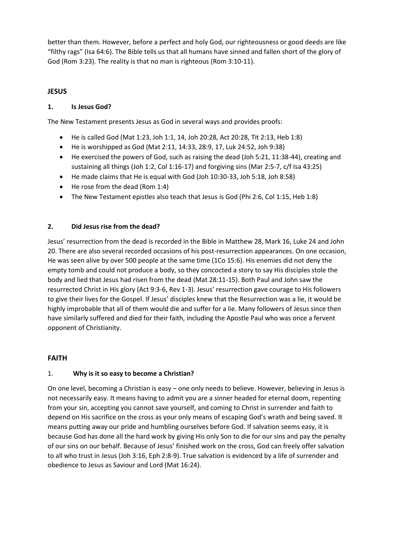better than them. However, before a perfect and holy God, our righteousness or good deeds are like "filthy rags" (Isa 64:6). The Bible tells us that all humans have sinned and fallen short of the glory of God (Rom 3:23). The reality is that no man is righteous (Rom 3:10-11).

# **JESUS**

### **1. Is Jesus God?**

The New Testament presents Jesus as God in several ways and provides proofs:

- He is called God (Mat 1:23, Joh 1:1, 14, Joh 20:28, Act 20:28, Tit 2:13, Heb 1:8)
- He is worshipped as God (Mat 2:11, 14:33, 28:9, 17, Luk 24:52, Joh 9:38)
- He exercised the powers of God, such as raising the dead (Joh 5:21, 11:38-44), creating and sustaining all things (Joh 1:2, Col 1:16-17) and forgiving sins (Mar 2:5-7, c/f Isa 43:25)
- He made claims that He is equal with God (Joh 10:30-33, Joh 5:18, Joh 8:58)
- He rose from the dead (Rom 1:4)
- The New Testament epistles also teach that Jesus is God (Phi 2:6, Col 1:15, Heb 1:8)

#### **2. Did Jesus rise from the dead?**

Jesus' resurrection from the dead is recorded in the Bible in Matthew 28, Mark 16, Luke 24 and John 20. There are also several recorded occasions of his post-resurrection appearances. On one occasion, He was seen alive by over 500 people at the same time (1Co 15:6). His enemies did not deny the empty tomb and could not produce a body, so they concocted a story to say His disciples stole the body and lied that Jesus had risen from the dead (Mat 28:11-15). Both Paul and John saw the resurrected Christ in His glory (Act 9:3-6, Rev 1-3). Jesus' resurrection gave courage to His followers to give their lives for the Gospel. If Jesus' disciples knew that the Resurrection was a lie, it would be highly improbable that all of them would die and suffer for a lie. Many followers of Jesus since then have similarly suffered and died for their faith, including the Apostle Paul who was once a fervent opponent of Christianity.

#### **FAITH**

#### 1. **Why is it so easy to become a Christian?**

On one level, becoming a Christian is easy – one only needs to believe. However, believing in Jesus is not necessarily easy. It means having to admit you are a sinner headed for eternal doom, repenting from your sin, accepting you cannot save yourself, and coming to Christ in surrender and faith to depend on His sacrifice on the cross as your only means of escaping God's wrath and being saved. It means putting away our pride and humbling ourselves before God. If salvation seems easy, it is because God has done all the hard work by giving His only Son to die for our sins and pay the penalty of our sins on our behalf. Because of Jesus' finished work on the cross, God can freely offer salvation to all who trust in Jesus (Joh 3:16, Eph 2:8-9). True salvation is evidenced by a life of surrender and obedience to Jesus as Saviour and Lord (Mat 16:24).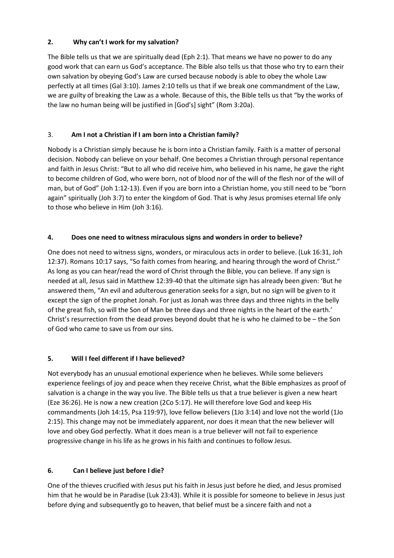### **2. Why can't I work for my salvation?**

The Bible tells us that we are spiritually dead (Eph 2:1). That means we have no power to do any good work that can earn us God's acceptance. The Bible also tells us that those who try to earn their own salvation by obeying God's Law are cursed because nobody is able to obey the whole Law perfectly at all times (Gal 3:10). James 2:10 tells us that if we break one commandment of the Law, we are guilty of breaking the Law as a whole. Because of this, the Bible tells us that "by the works of the law no human being will be justified in [God's] sight" (Rom 3:20a).

# 3. **Am I not a Christian if I am born into a Christian family?**

Nobody is a Christian simply because he is born into a Christian family. Faith is a matter of personal decision. Nobody can believe on your behalf. One becomes a Christian through personal repentance and faith in Jesus Christ: "But to all who did receive him, who believed in his name, he gave the right to become children of God, who were born, not of blood nor of the will of the flesh nor of the will of man, but of God" (Joh 1:12-13). Even if you are born into a Christian home, you still need to be "born again" spiritually (Joh 3:7) to enter the kingdom of God. That is why Jesus promises eternal life only to those who believe in Him (Joh 3:16).

# **4. Does one need to witness miraculous signs and wonders in order to believe?**

One does not need to witness signs, wonders, or miraculous acts in order to believe. (Luk 16:31, Joh 12:37). Romans 10:17 says, "So faith comes from hearing, and hearing through the word of Christ." As long as you can hear/read the word of Christ through the Bible, you can believe. If any sign is needed at all, Jesus said in Matthew 12:39-40 that the ultimate sign has already been given: 'But he answered them, "An evil and adulterous generation seeks for a sign, but no sign will be given to it except the sign of the prophet Jonah. For just as Jonah was three days and three nights in the belly of the great fish, so will the Son of Man be three days and three nights in the heart of the earth.' Christ's resurrection from the dead proves beyond doubt that he is who he claimed to be – the Son of God who came to save us from our sins.

# **5. Will I feel different if I have believed?**

Not everybody has an unusual emotional experience when he believes. While some believers experience feelings of joy and peace when they receive Christ, what the Bible emphasizes as proof of salvation is a change in the way you live. The Bible tells us that a true believer is given a new heart (Eze 36:26). He is now a new creation (2Co 5:17). He will therefore love God and keep His commandments (Joh 14:15, Psa 119:97), love fellow believers (1Jo 3:14) and love not the world (1Jo 2:15). This change may not be immediately apparent, nor does it mean that the new believer will love and obey God perfectly. What it does mean is a true believer will not fail to experience progressive change in his life as he grows in his faith and continues to follow Jesus.

# **6. Can I believe just before I die?**

One of the thieves crucified with Jesus put his faith in Jesus just before he died, and Jesus promised him that he would be in Paradise (Luk 23:43). While it is possible for someone to believe in Jesus just before dying and subsequently go to heaven, that belief must be a sincere faith and not a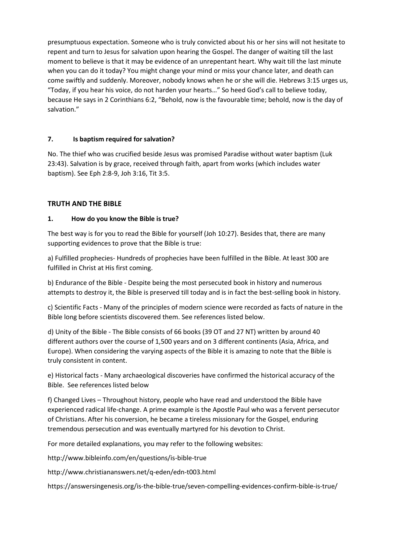presumptuous expectation. Someone who is truly convicted about his or her sins will not hesitate to repent and turn to Jesus for salvation upon hearing the Gospel. The danger of waiting till the last moment to believe is that it may be evidence of an unrepentant heart. Why wait till the last minute when you can do it today? You might change your mind or miss your chance later, and death can come swiftly and suddenly. Moreover, nobody knows when he or she will die. Hebrews 3:15 urges us, "Today, if you hear his voice, do not harden your hearts…" So heed God's call to believe today, because He says in 2 Corinthians 6:2, "Behold, now is the favourable time; behold, now is the day of salvation."

### **7. Is baptism required for salvation?**

No. The thief who was crucified beside Jesus was promised Paradise without water baptism (Luk 23:43). Salvation is by grace, received through faith, apart from works (which includes water baptism). See Eph 2:8-9, Joh 3:16, Tit 3:5.

# **TRUTH AND THE BIBLE**

#### **1. How do you know the Bible is true?**

The best way is for you to read the Bible for yourself (Joh 10:27). Besides that, there are many supporting evidences to prove that the Bible is true:

a) Fulfilled prophecies- Hundreds of prophecies have been fulfilled in the Bible. At least 300 are fulfilled in Christ at His first coming.

b) Endurance of the Bible - Despite being the most persecuted book in history and numerous attempts to destroy it, the Bible is preserved till today and is in fact the best-selling book in history.

c) Scientific Facts - Many of the principles of modern science were recorded as facts of nature in the Bible long before scientists discovered them. See references listed below.

d) Unity of the Bible - The Bible consists of 66 books (39 OT and 27 NT) written by around 40 different authors over the course of 1,500 years and on 3 different continents (Asia, Africa, and Europe). When considering the varying aspects of the Bible it is amazing to note that the Bible is truly consistent in content.

e) Historical facts - Many archaeological discoveries have confirmed the historical accuracy of the Bible. See references listed below

f) Changed Lives – Throughout history, people who have read and understood the Bible have experienced radical life-change. A prime example is the Apostle Paul who was a fervent persecutor of Christians. After his conversion, he became a tireless missionary for the Gospel, enduring tremendous persecution and was eventually martyred for his devotion to Christ.

For more detailed explanations, you may refer to the following websites:

http://www.bibleinfo.com/en/questions/is-bible-true

http://www.christiananswers.net/q-eden/edn-t003.html

https://answersingenesis.org/is-the-bible-true/seven-compelling-evidences-confirm-bible-is-true/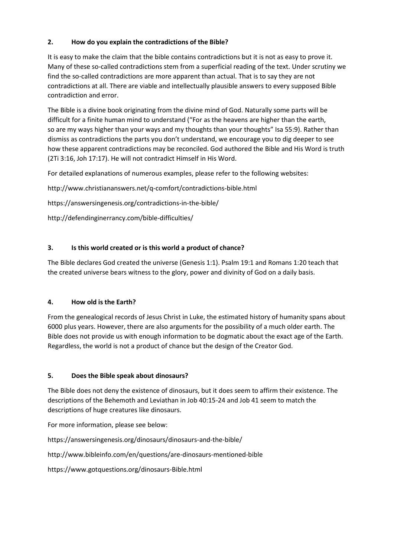# **2. How do you explain the contradictions of the Bible?**

It is easy to make the claim that the bible contains contradictions but it is not as easy to prove it. Many of these so-called contradictions stem from a superficial reading of the text. Under scrutiny we find the so-called contradictions are more apparent than actual. That is to say they are not contradictions at all. There are viable and intellectually plausible answers to every supposed Bible contradiction and error.

The Bible is a divine book originating from the divine mind of God. Naturally some parts will be difficult for a finite human mind to understand ("For as the heavens are higher than the earth, so are my ways higher than your ways and my thoughts than your thoughts" Isa 55:9). Rather than dismiss as contradictions the parts you don't understand, we encourage you to dig deeper to see how these apparent contradictions may be reconciled. God authored the Bible and His Word is truth (2Ti 3:16, Joh 17:17). He will not contradict Himself in His Word.

For detailed explanations of numerous examples, please refer to the following websites:

http://www.christiananswers.net/q-comfort/contradictions-bible.html

https://answersingenesis.org/contradictions-in-the-bible/

http://defendinginerrancy.com/bible-difficulties/

### **3. Is this world created or is this world a product of chance?**

The Bible declares God created the universe (Genesis 1:1). Psalm 19:1 and Romans 1:20 teach that the created universe bears witness to the glory, power and divinity of God on a daily basis.

#### **4. How old is the Earth?**

From the genealogical records of Jesus Christ in Luke, the estimated history of humanity spans about 6000 plus years. However, there are also arguments for the possibility of a much older earth. The Bible does not provide us with enough information to be dogmatic about the exact age of the Earth. Regardless, the world is not a product of chance but the design of the Creator God.

#### **5. Does the Bible speak about dinosaurs?**

The Bible does not deny the existence of dinosaurs, but it does seem to affirm their existence. The descriptions of the Behemoth and Leviathan in Job 40:15-24 and Job 41 seem to match the descriptions of huge creatures like dinosaurs.

For more information, please see below:

https://answersingenesis.org/dinosaurs/dinosaurs-and-the-bible/

http://www.bibleinfo.com/en/questions/are-dinosaurs-mentioned-bible

https://www.gotquestions.org/dinosaurs-Bible.html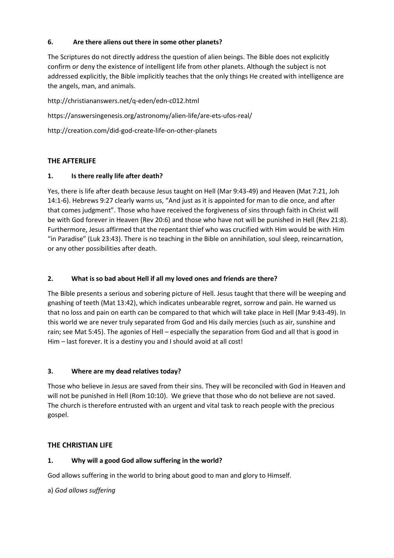### **6. Are there aliens out there in some other planets?**

The Scriptures do not directly address the question of alien beings. The Bible does not explicitly confirm or deny the existence of intelligent life from other planets. Although the subject is not addressed explicitly, the Bible implicitly teaches that the only things He created with intelligence are the angels, man, and animals.

http://christiananswers.net/q-eden/edn-c012.html https://answersingenesis.org/astronomy/alien-life/are-ets-ufos-real/ http://creation.com/did-god-create-life-on-other-planets

### **THE AFTERLIFE**

### **1. Is there really life after death?**

Yes, there is life after death because Jesus taught on Hell (Mar 9:43-49) and Heaven (Mat 7:21, Joh 14:1-6). Hebrews 9:27 clearly warns us, "And just as it is appointed for man to die once, and after that comes judgment". Those who have received the forgiveness of sins through faith in Christ will be with God forever in Heaven (Rev 20:6) and those who have not will be punished in Hell (Rev 21:8). Furthermore, Jesus affirmed that the repentant thief who was crucified with Him would be with Him "in Paradise" (Luk 23:43). There is no teaching in the Bible on annihilation, soul sleep, reincarnation, or any other possibilities after death.

### **2. What is so bad about Hell if all my loved ones and friends are there?**

The Bible presents a serious and sobering picture of Hell. Jesus taught that there will be weeping and gnashing of teeth (Mat 13:42), which indicates unbearable regret, sorrow and pain. He warned us that no loss and pain on earth can be compared to that which will take place in Hell (Mar 9:43-49). In this world we are never truly separated from God and His daily mercies (such as air, sunshine and rain; see Mat 5:45). The agonies of Hell – especially the separation from God and all that is good in Him – last forever. It is a destiny you and I should avoid at all cost!

#### **3. Where are my dead relatives today?**

Those who believe in Jesus are saved from their sins. They will be reconciled with God in Heaven and will not be punished in Hell (Rom 10:10). We grieve that those who do not believe are not saved. The church is therefore entrusted with an urgent and vital task to reach people with the precious gospel.

#### **THE CHRISTIAN LIFE**

#### **1. Why will a good God allow suffering in the world?**

God allows suffering in the world to bring about good to man and glory to Himself.

a) *God allows suffering*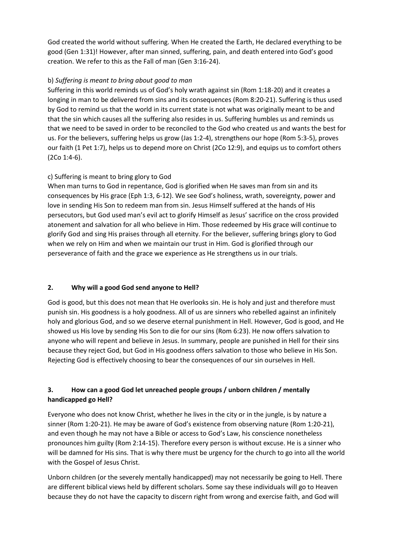God created the world without suffering. When He created the Earth, He declared everything to be good (Gen 1:31)! However, after man sinned, suffering, pain, and death entered into God's good creation. We refer to this as the Fall of man (Gen 3:16-24).

# b) *Suffering is meant to bring about good to man*

Suffering in this world reminds us of God's holy wrath against sin (Rom 1:18-20) and it creates a longing in man to be delivered from sins and its consequences (Rom 8:20-21). Suffering is thus used by God to remind us that the world in its current state is not what was originally meant to be and that the sin which causes all the suffering also resides in us. Suffering humbles us and reminds us that we need to be saved in order to be reconciled to the God who created us and wants the best for us. For the believers, suffering helps us grow (Jas 1:2-4), strengthens our hope (Rom 5:3-5), proves our faith (1 Pet 1:7), helps us to depend more on Christ (2Co 12:9), and equips us to comfort others (2Co 1:4-6).

# c) Suffering is meant to bring glory to God

When man turns to God in repentance, God is glorified when He saves man from sin and its consequences by His grace (Eph 1:3, 6-12). We see God's holiness, wrath, sovereignty, power and love in sending His Son to redeem man from sin. Jesus Himself suffered at the hands of His persecutors, but God used man's evil act to glorify Himself as Jesus' sacrifice on the cross provided atonement and salvation for all who believe in Him. Those redeemed by His grace will continue to glorify God and sing His praises through all eternity. For the believer, suffering brings glory to God when we rely on Him and when we maintain our trust in Him. God is glorified through our perseverance of faith and the grace we experience as He strengthens us in our trials.

# **2. Why will a good God send anyone to Hell?**

God is good, but this does not mean that He overlooks sin. He is holy and just and therefore must punish sin. His goodness is a holy goodness. All of us are sinners who rebelled against an infinitely holy and glorious God, and so we deserve eternal punishment in Hell. However, God is good, and He showed us His love by sending His Son to die for our sins (Rom 6:23). He now offers salvation to anyone who will repent and believe in Jesus. In summary, people are punished in Hell for their sins because they reject God, but God in His goodness offers salvation to those who believe in His Son. Rejecting God is effectively choosing to bear the consequences of our sin ourselves in Hell.

# **3. How can a good God let unreached people groups / unborn children / mentally handicapped go Hell?**

Everyone who does not know Christ, whether he lives in the city or in the jungle, is by nature a sinner (Rom 1:20-21). He may be aware of God's existence from observing nature (Rom 1:20-21), and even though he may not have a Bible or access to God's Law, his conscience nonetheless pronounces him guilty (Rom 2:14-15). Therefore every person is without excuse. He is a sinner who will be damned for His sins. That is why there must be urgency for the church to go into all the world with the Gospel of Jesus Christ.

Unborn children (or the severely mentally handicapped) may not necessarily be going to Hell. There are different biblical views held by different scholars. Some say these individuals will go to Heaven because they do not have the capacity to discern right from wrong and exercise faith, and God will